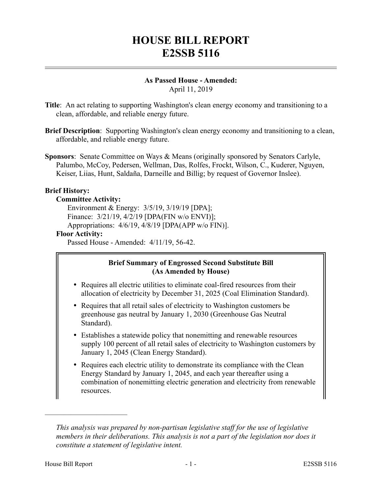# **HOUSE BILL REPORT E2SSB 5116**

#### **As Passed House - Amended:** April 11, 2019

- **Title**: An act relating to supporting Washington's clean energy economy and transitioning to a clean, affordable, and reliable energy future.
- **Brief Description**: Supporting Washington's clean energy economy and transitioning to a clean, affordable, and reliable energy future.
- **Sponsors**: Senate Committee on Ways & Means (originally sponsored by Senators Carlyle, Palumbo, McCoy, Pedersen, Wellman, Das, Rolfes, Frockt, Wilson, C., Kuderer, Nguyen, Keiser, Liias, Hunt, Saldaña, Darneille and Billig; by request of Governor Inslee).

# **Brief History:**

## **Committee Activity:**

Environment & Energy: 3/5/19, 3/19/19 [DPA]; Finance: 3/21/19, 4/2/19 [DPA(FIN w/o ENVI)]; Appropriations: 4/6/19, 4/8/19 [DPA(APP w/o FIN)]. **Floor Activity:**

## Passed House - Amended: 4/11/19, 56-42.

# **Brief Summary of Engrossed Second Substitute Bill (As Amended by House)**

- Requires all electric utilities to eliminate coal-fired resources from their allocation of electricity by December 31, 2025 (Coal Elimination Standard).
- Requires that all retail sales of electricity to Washington customers be greenhouse gas neutral by January 1, 2030 (Greenhouse Gas Neutral Standard).
- Establishes a statewide policy that nonemitting and renewable resources supply 100 percent of all retail sales of electricity to Washington customers by January 1, 2045 (Clean Energy Standard).
- Requires each electric utility to demonstrate its compliance with the Clean Energy Standard by January 1, 2045, and each year thereafter using a combination of nonemitting electric generation and electricity from renewable resources.

––––––––––––––––––––––

*This analysis was prepared by non-partisan legislative staff for the use of legislative members in their deliberations. This analysis is not a part of the legislation nor does it constitute a statement of legislative intent.*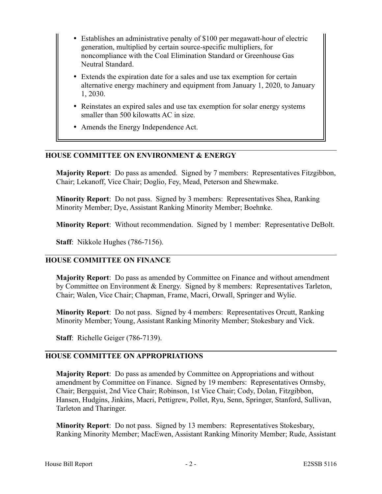- Establishes an administrative penalty of \$100 per megawatt-hour of electric generation, multiplied by certain source-specific multipliers, for noncompliance with the Coal Elimination Standard or Greenhouse Gas Neutral Standard.
- Extends the expiration date for a sales and use tax exemption for certain alternative energy machinery and equipment from January 1, 2020, to January 1, 2030.
- Reinstates an expired sales and use tax exemption for solar energy systems smaller than 500 kilowatts AC in size.
- Amends the Energy Independence Act.

# **HOUSE COMMITTEE ON ENVIRONMENT & ENERGY**

**Majority Report**: Do pass as amended. Signed by 7 members: Representatives Fitzgibbon, Chair; Lekanoff, Vice Chair; Doglio, Fey, Mead, Peterson and Shewmake.

**Minority Report**: Do not pass. Signed by 3 members: Representatives Shea, Ranking Minority Member; Dye, Assistant Ranking Minority Member; Boehnke.

**Minority Report**: Without recommendation. Signed by 1 member: Representative DeBolt.

**Staff**: Nikkole Hughes (786-7156).

# **HOUSE COMMITTEE ON FINANCE**

**Majority Report**: Do pass as amended by Committee on Finance and without amendment by Committee on Environment & Energy. Signed by 8 members: Representatives Tarleton, Chair; Walen, Vice Chair; Chapman, Frame, Macri, Orwall, Springer and Wylie.

**Minority Report**: Do not pass. Signed by 4 members: Representatives Orcutt, Ranking Minority Member; Young, Assistant Ranking Minority Member; Stokesbary and Vick.

**Staff**: Richelle Geiger (786-7139).

# **HOUSE COMMITTEE ON APPROPRIATIONS**

**Majority Report**: Do pass as amended by Committee on Appropriations and without amendment by Committee on Finance. Signed by 19 members: Representatives Ormsby, Chair; Bergquist, 2nd Vice Chair; Robinson, 1st Vice Chair; Cody, Dolan, Fitzgibbon, Hansen, Hudgins, Jinkins, Macri, Pettigrew, Pollet, Ryu, Senn, Springer, Stanford, Sullivan, Tarleton and Tharinger.

**Minority Report**: Do not pass. Signed by 13 members: Representatives Stokesbary, Ranking Minority Member; MacEwen, Assistant Ranking Minority Member; Rude, Assistant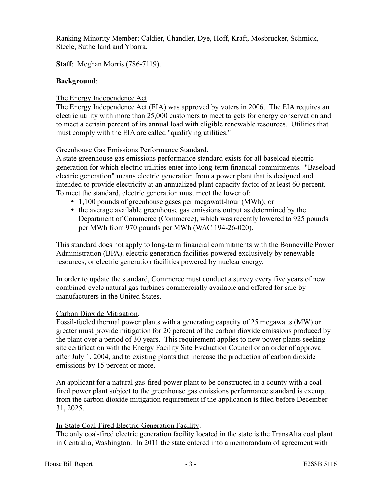Ranking Minority Member; Caldier, Chandler, Dye, Hoff, Kraft, Mosbrucker, Schmick, Steele, Sutherland and Ybarra.

# **Staff**: Meghan Morris (786-7119).

# **Background**:

# The Energy Independence Act.

The Energy Independence Act (EIA) was approved by voters in 2006. The EIA requires an electric utility with more than 25,000 customers to meet targets for energy conservation and to meet a certain percent of its annual load with eligible renewable resources. Utilities that must comply with the EIA are called "qualifying utilities."

# Greenhouse Gas Emissions Performance Standard.

A state greenhouse gas emissions performance standard exists for all baseload electric generation for which electric utilities enter into long-term financial commitments. "Baseload electric generation" means electric generation from a power plant that is designed and intended to provide electricity at an annualized plant capacity factor of at least 60 percent. To meet the standard, electric generation must meet the lower of:

- 1,100 pounds of greenhouse gases per megawatt-hour (MWh); or
- the average available greenhouse gas emissions output as determined by the Department of Commerce (Commerce), which was recently lowered to 925 pounds per MWh from 970 pounds per MWh (WAC 194-26-020).

This standard does not apply to long-term financial commitments with the Bonneville Power Administration (BPA), electric generation facilities powered exclusively by renewable resources, or electric generation facilities powered by nuclear energy.

In order to update the standard, Commerce must conduct a survey every five years of new combined-cycle natural gas turbines commercially available and offered for sale by manufacturers in the United States.

# Carbon Dioxide Mitigation.

Fossil-fueled thermal power plants with a generating capacity of 25 megawatts (MW) or greater must provide mitigation for 20 percent of the carbon dioxide emissions produced by the plant over a period of 30 years. This requirement applies to new power plants seeking site certification with the Energy Facility Site Evaluation Council or an order of approval after July 1, 2004, and to existing plants that increase the production of carbon dioxide emissions by 15 percent or more.

An applicant for a natural gas-fired power plant to be constructed in a county with a coalfired power plant subject to the greenhouse gas emissions performance standard is exempt from the carbon dioxide mitigation requirement if the application is filed before December 31, 2025.

# In-State Coal-Fired Electric Generation Facility.

The only coal-fired electric generation facility located in the state is the TransAlta coal plant in Centralia, Washington. In 2011 the state entered into a memorandum of agreement with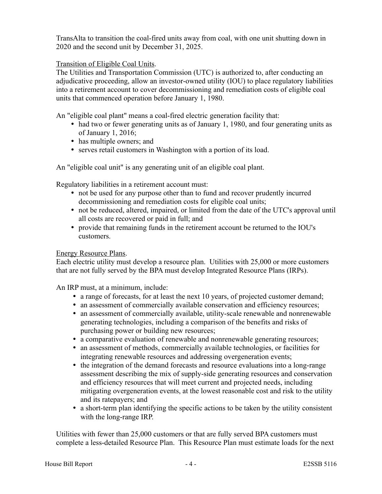TransAlta to transition the coal-fired units away from coal, with one unit shutting down in 2020 and the second unit by December 31, 2025.

# Transition of Eligible Coal Units.

The Utilities and Transportation Commission (UTC) is authorized to, after conducting an adjudicative proceeding, allow an investor-owned utility (IOU) to place regulatory liabilities into a retirement account to cover decommissioning and remediation costs of eligible coal units that commenced operation before January 1, 1980.

An "eligible coal plant" means a coal-fired electric generation facility that:

- had two or fewer generating units as of January 1, 1980, and four generating units as of January 1, 2016;
- has multiple owners; and
- serves retail customers in Washington with a portion of its load.

An "eligible coal unit" is any generating unit of an eligible coal plant.

Regulatory liabilities in a retirement account must:

- not be used for any purpose other than to fund and recover prudently incurred decommissioning and remediation costs for eligible coal units;
- not be reduced, altered, impaired, or limited from the date of the UTC's approval until all costs are recovered or paid in full; and
- provide that remaining funds in the retirement account be returned to the IOU's customers.

# Energy Resource Plans.

Each electric utility must develop a resource plan. Utilities with 25,000 or more customers that are not fully served by the BPA must develop Integrated Resource Plans (IRPs).

An IRP must, at a minimum, include:

- a range of forecasts, for at least the next 10 years, of projected customer demand;
- an assessment of commercially available conservation and efficiency resources;
- an assessment of commercially available, utility-scale renewable and nonrenewable generating technologies, including a comparison of the benefits and risks of purchasing power or building new resources;
- a comparative evaluation of renewable and nonrenewable generating resources;
- an assessment of methods, commercially available technologies, or facilities for integrating renewable resources and addressing overgeneration events;
- the integration of the demand forecasts and resource evaluations into a long-range assessment describing the mix of supply-side generating resources and conservation and efficiency resources that will meet current and projected needs, including mitigating overgeneration events, at the lowest reasonable cost and risk to the utility and its ratepayers; and
- a short-term plan identifying the specific actions to be taken by the utility consistent with the long-range IRP.

Utilities with fewer than 25,000 customers or that are fully served BPA customers must complete a less-detailed Resource Plan. This Resource Plan must estimate loads for the next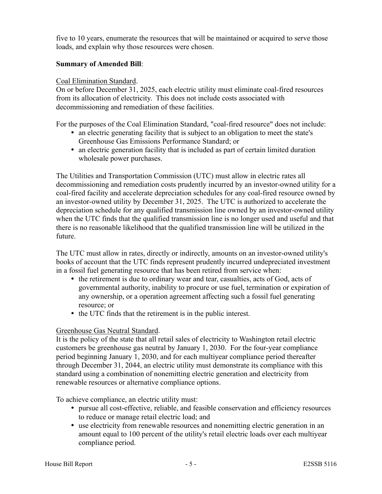five to 10 years, enumerate the resources that will be maintained or acquired to serve those loads, and explain why those resources were chosen.

## **Summary of Amended Bill**:

#### Coal Elimination Standard.

On or before December 31, 2025, each electric utility must eliminate coal-fired resources from its allocation of electricity. This does not include costs associated with decommissioning and remediation of these facilities.

For the purposes of the Coal Elimination Standard, "coal-fired resource" does not include:

- an electric generating facility that is subject to an obligation to meet the state's Greenhouse Gas Emissions Performance Standard; or
- an electric generation facility that is included as part of certain limited duration wholesale power purchases.

The Utilities and Transportation Commission (UTC) must allow in electric rates all decommissioning and remediation costs prudently incurred by an investor-owned utility for a coal-fired facility and accelerate depreciation schedules for any coal-fired resource owned by an investor-owned utility by December 31, 2025. The UTC is authorized to accelerate the depreciation schedule for any qualified transmission line owned by an investor-owned utility when the UTC finds that the qualified transmission line is no longer used and useful and that there is no reasonable likelihood that the qualified transmission line will be utilized in the future.

The UTC must allow in rates, directly or indirectly, amounts on an investor-owned utility's books of account that the UTC finds represent prudently incurred undepreciated investment in a fossil fuel generating resource that has been retired from service when:

- the retirement is due to ordinary wear and tear, casualties, acts of God, acts of governmental authority, inability to procure or use fuel, termination or expiration of any ownership, or a operation agreement affecting such a fossil fuel generating resource; or
- the UTC finds that the retirement is in the public interest.

# Greenhouse Gas Neutral Standard.

It is the policy of the state that all retail sales of electricity to Washington retail electric customers be greenhouse gas neutral by January 1, 2030. For the four-year compliance period beginning January 1, 2030, and for each multiyear compliance period thereafter through December 31, 2044, an electric utility must demonstrate its compliance with this standard using a combination of nonemitting electric generation and electricity from renewable resources or alternative compliance options.

To achieve compliance, an electric utility must:

- pursue all cost-effective, reliable, and feasible conservation and efficiency resources to reduce or manage retail electric load; and
- use electricity from renewable resources and nonemitting electric generation in an amount equal to 100 percent of the utility's retail electric loads over each multiyear compliance period.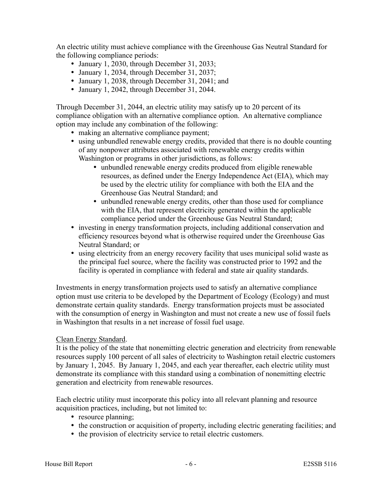An electric utility must achieve compliance with the Greenhouse Gas Neutral Standard for the following compliance periods:

- January 1, 2030, through December 31, 2033;
- January 1, 2034, through December 31, 2037;
- January 1, 2038, through December 31, 2041; and
- January 1, 2042, through December 31, 2044.

Through December 31, 2044, an electric utility may satisfy up to 20 percent of its compliance obligation with an alternative compliance option. An alternative compliance option may include any combination of the following:

- making an alternative compliance payment;
- using unbundled renewable energy credits, provided that there is no double counting of any nonpower attributes associated with renewable energy credits within Washington or programs in other jurisdictions, as follows:
	- unbundled renewable energy credits produced from eligible renewable resources, as defined under the Energy Independence Act (EIA), which may be used by the electric utility for compliance with both the EIA and the Greenhouse Gas Neutral Standard; and
	- unbundled renewable energy credits, other than those used for compliance with the EIA, that represent electricity generated within the applicable compliance period under the Greenhouse Gas Neutral Standard;
- investing in energy transformation projects, including additional conservation and efficiency resources beyond what is otherwise required under the Greenhouse Gas Neutral Standard; or
- using electricity from an energy recovery facility that uses municipal solid waste as the principal fuel source, where the facility was constructed prior to 1992 and the facility is operated in compliance with federal and state air quality standards.

Investments in energy transformation projects used to satisfy an alternative compliance option must use criteria to be developed by the Department of Ecology (Ecology) and must demonstrate certain quality standards. Energy transformation projects must be associated with the consumption of energy in Washington and must not create a new use of fossil fuels in Washington that results in a net increase of fossil fuel usage.

# Clean Energy Standard.

It is the policy of the state that nonemitting electric generation and electricity from renewable resources supply 100 percent of all sales of electricity to Washington retail electric customers by January 1, 2045. By January 1, 2045, and each year thereafter, each electric utility must demonstrate its compliance with this standard using a combination of nonemitting electric generation and electricity from renewable resources.

Each electric utility must incorporate this policy into all relevant planning and resource acquisition practices, including, but not limited to:

- resource planning;
- the construction or acquisition of property, including electric generating facilities; and
- the provision of electricity service to retail electric customers.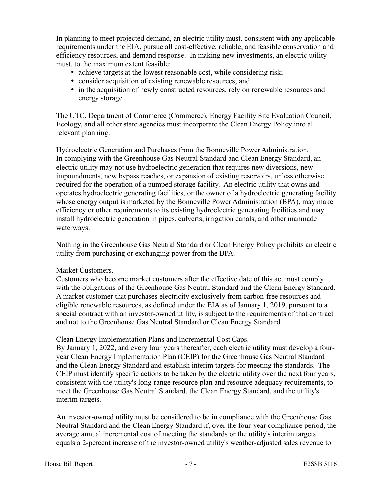In planning to meet projected demand, an electric utility must, consistent with any applicable requirements under the EIA, pursue all cost-effective, reliable, and feasible conservation and efficiency resources, and demand response. In making new investments, an electric utility must, to the maximum extent feasible:

- achieve targets at the lowest reasonable cost, while considering risk;
- consider acquisition of existing renewable resources; and
- in the acquisition of newly constructed resources, rely on renewable resources and energy storage.

The UTC, Department of Commerce (Commerce), Energy Facility Site Evaluation Council, Ecology, and all other state agencies must incorporate the Clean Energy Policy into all relevant planning.

Hydroelectric Generation and Purchases from the Bonneville Power Administration. In complying with the Greenhouse Gas Neutral Standard and Clean Energy Standard, an electric utility may not use hydroelectric generation that requires new diversions, new impoundments, new bypass reaches, or expansion of existing reservoirs, unless otherwise required for the operation of a pumped storage facility. An electric utility that owns and operates hydroelectric generating facilities, or the owner of a hydroelectric generating facility whose energy output is marketed by the Bonneville Power Administration (BPA), may make efficiency or other requirements to its existing hydroelectric generating facilities and may install hydroelectric generation in pipes, culverts, irrigation canals, and other manmade waterways.

Nothing in the Greenhouse Gas Neutral Standard or Clean Energy Policy prohibits an electric utility from purchasing or exchanging power from the BPA.

#### Market Customers.

Customers who become market customers after the effective date of this act must comply with the obligations of the Greenhouse Gas Neutral Standard and the Clean Energy Standard. A market customer that purchases electricity exclusively from carbon-free resources and eligible renewable resources, as defined under the EIA as of January 1, 2019, pursuant to a special contract with an investor-owned utility, is subject to the requirements of that contract and not to the Greenhouse Gas Neutral Standard or Clean Energy Standard.

# Clean Energy Implementation Plans and Incremental Cost Caps.

By January 1, 2022, and every four years thereafter, each electric utility must develop a fouryear Clean Energy Implementation Plan (CEIP) for the Greenhouse Gas Neutral Standard and the Clean Energy Standard and establish interim targets for meeting the standards. The CEIP must identify specific actions to be taken by the electric utility over the next four years, consistent with the utility's long-range resource plan and resource adequacy requirements, to meet the Greenhouse Gas Neutral Standard, the Clean Energy Standard, and the utility's interim targets.

An investor-owned utility must be considered to be in compliance with the Greenhouse Gas Neutral Standard and the Clean Energy Standard if, over the four-year compliance period, the average annual incremental cost of meeting the standards or the utility's interim targets equals a 2-percent increase of the investor-owned utility's weather-adjusted sales revenue to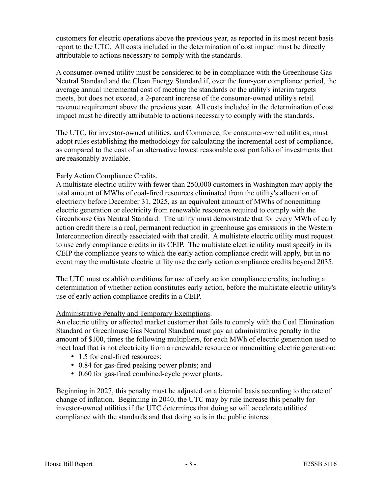customers for electric operations above the previous year, as reported in its most recent basis report to the UTC. All costs included in the determination of cost impact must be directly attributable to actions necessary to comply with the standards.

A consumer-owned utility must be considered to be in compliance with the Greenhouse Gas Neutral Standard and the Clean Energy Standard if, over the four-year compliance period, the average annual incremental cost of meeting the standards or the utility's interim targets meets, but does not exceed, a 2-percent increase of the consumer-owned utility's retail revenue requirement above the previous year. All costs included in the determination of cost impact must be directly attributable to actions necessary to comply with the standards.

The UTC, for investor-owned utilities, and Commerce, for consumer-owned utilities, must adopt rules establishing the methodology for calculating the incremental cost of compliance, as compared to the cost of an alternative lowest reasonable cost portfolio of investments that are reasonably available.

## Early Action Compliance Credits.

A multistate electric utility with fewer than 250,000 customers in Washington may apply the total amount of MWhs of coal-fired resources eliminated from the utility's allocation of electricity before December 31, 2025, as an equivalent amount of MWhs of nonemitting electric generation or electricity from renewable resources required to comply with the Greenhouse Gas Neutral Standard. The utility must demonstrate that for every MWh of early action credit there is a real, permanent reduction in greenhouse gas emissions in the Western Interconnection directly associated with that credit. A multistate electric utility must request to use early compliance credits in its CEIP. The multistate electric utility must specify in its CEIP the compliance years to which the early action compliance credit will apply, but in no event may the multistate electric utility use the early action compliance credits beyond 2035.

The UTC must establish conditions for use of early action compliance credits, including a determination of whether action constitutes early action, before the multistate electric utility's use of early action compliance credits in a CEIP.

# Administrative Penalty and Temporary Exemptions.

An electric utility or affected market customer that fails to comply with the Coal Elimination Standard or Greenhouse Gas Neutral Standard must pay an administrative penalty in the amount of \$100, times the following multipliers, for each MWh of electric generation used to meet load that is not electricity from a renewable resource or nonemitting electric generation:

- 1.5 for coal-fired resources;
- 0.84 for gas-fired peaking power plants; and
- 0.60 for gas-fired combined-cycle power plants.

Beginning in 2027, this penalty must be adjusted on a biennial basis according to the rate of change of inflation. Beginning in 2040, the UTC may by rule increase this penalty for investor-owned utilities if the UTC determines that doing so will accelerate utilities' compliance with the standards and that doing so is in the public interest.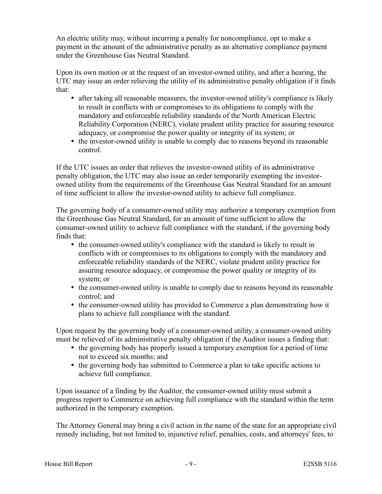An electric utility may, without incurring a penalty for noncompliance, opt to make a payment in the amount of the administrative penalty as an alternative compliance payment under the Greenhouse Gas Neutral Standard.

Upon its own motion or at the request of an investor-owned utility, and after a hearing, the UTC may issue an order relieving the utility of its administrative penalty obligation if it finds that:

- after taking all reasonable measures, the investor-owned utility's compliance is likely to result in conflicts with or compromises to its obligations to comply with the mandatory and enforceable reliability standards of the North American Electric Reliability Corporation (NERC), violate prudent utility practice for assuring resource adequacy, or compromise the power quality or integrity of its system; or
- the investor-owned utility is unable to comply due to reasons beyond its reasonable control.

If the UTC issues an order that relieves the investor-owned utility of its administrative penalty obligation, the UTC may also issue an order temporarily exempting the investorowned utility from the requirements of the Greenhouse Gas Neutral Standard for an amount of time sufficient to allow the investor-owned utility to achieve full compliance.

The governing body of a consumer-owned utility may authorize a temporary exemption from the Greenhouse Gas Neutral Standard, for an amount of time sufficient to allow the consumer-owned utility to achieve full compliance with the standard, if the governing body finds that:

- the consumer-owned utility's compliance with the standard is likely to result in conflicts with or compromises to its obligations to comply with the mandatory and enforceable reliability standards of the NERC, violate prudent utility practice for assuring resource adequacy, or compromise the power quality or integrity of its system; or
- the consumer-owned utility is unable to comply due to reasons beyond its reasonable control; and
- the consumer-owned utility has provided to Commerce a plan demonstrating how it plans to achieve full compliance with the standard.

Upon request by the governing body of a consumer-owned utility, a consumer-owned utility must be relieved of its administrative penalty obligation if the Auditor issues a finding that:

- the governing body has properly issued a temporary exemption for a period of time not to exceed six months; and
- the governing body has submitted to Commerce a plan to take specific actions to achieve full compliance.

Upon issuance of a finding by the Auditor, the consumer-owned utility must submit a progress report to Commerce on achieving full compliance with the standard within the term authorized in the temporary exemption.

The Attorney General may bring a civil action in the name of the state for an appropriate civil remedy including, but not limited to, injunctive relief, penalties, costs, and attorneys' fees, to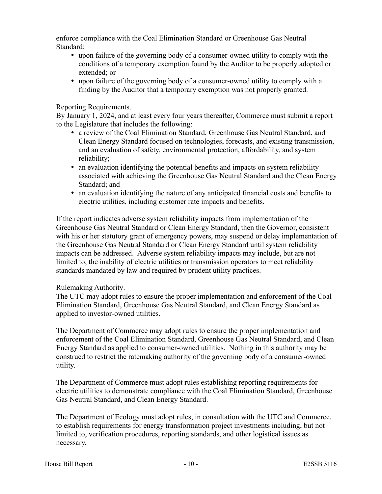enforce compliance with the Coal Elimination Standard or Greenhouse Gas Neutral Standard:

- upon failure of the governing body of a consumer-owned utility to comply with the conditions of a temporary exemption found by the Auditor to be properly adopted or extended; or
- upon failure of the governing body of a consumer-owned utility to comply with a finding by the Auditor that a temporary exemption was not properly granted.

#### Reporting Requirements.

By January 1, 2024, and at least every four years thereafter, Commerce must submit a report to the Legislature that includes the following:

- a review of the Coal Elimination Standard, Greenhouse Gas Neutral Standard, and Clean Energy Standard focused on technologies, forecasts, and existing transmission, and an evaluation of safety, environmental protection, affordability, and system reliability;
- an evaluation identifying the potential benefits and impacts on system reliability associated with achieving the Greenhouse Gas Neutral Standard and the Clean Energy Standard; and
- an evaluation identifying the nature of any anticipated financial costs and benefits to electric utilities, including customer rate impacts and benefits.

If the report indicates adverse system reliability impacts from implementation of the Greenhouse Gas Neutral Standard or Clean Energy Standard, then the Governor, consistent with his or her statutory grant of emergency powers, may suspend or delay implementation of the Greenhouse Gas Neutral Standard or Clean Energy Standard until system reliability impacts can be addressed. Adverse system reliability impacts may include, but are not limited to, the inability of electric utilities or transmission operators to meet reliability standards mandated by law and required by prudent utility practices.

#### Rulemaking Authority.

The UTC may adopt rules to ensure the proper implementation and enforcement of the Coal Elimination Standard, Greenhouse Gas Neutral Standard, and Clean Energy Standard as applied to investor-owned utilities.

The Department of Commerce may adopt rules to ensure the proper implementation and enforcement of the Coal Elimination Standard, Greenhouse Gas Neutral Standard, and Clean Energy Standard as applied to consumer-owned utilities. Nothing in this authority may be construed to restrict the ratemaking authority of the governing body of a consumer-owned utility.

The Department of Commerce must adopt rules establishing reporting requirements for electric utilities to demonstrate compliance with the Coal Elimination Standard, Greenhouse Gas Neutral Standard, and Clean Energy Standard.

The Department of Ecology must adopt rules, in consultation with the UTC and Commerce, to establish requirements for energy transformation project investments including, but not limited to, verification procedures, reporting standards, and other logistical issues as necessary.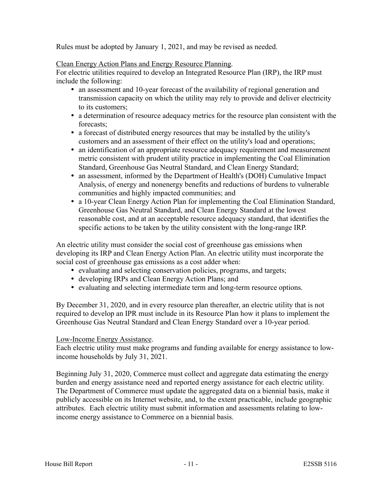Rules must be adopted by January 1, 2021, and may be revised as needed.

# Clean Energy Action Plans and Energy Resource Planning.

For electric utilities required to develop an Integrated Resource Plan (IRP), the IRP must include the following:

- an assessment and 10-year forecast of the availability of regional generation and transmission capacity on which the utility may rely to provide and deliver electricity to its customers;
- a determination of resource adequacy metrics for the resource plan consistent with the forecasts;
- a forecast of distributed energy resources that may be installed by the utility's customers and an assessment of their effect on the utility's load and operations;
- an identification of an appropriate resource adequacy requirement and measurement metric consistent with prudent utility practice in implementing the Coal Elimination Standard, Greenhouse Gas Neutral Standard, and Clean Energy Standard;
- an assessment, informed by the Department of Health's (DOH) Cumulative Impact Analysis, of energy and nonenergy benefits and reductions of burdens to vulnerable communities and highly impacted communities; and
- a 10-year Clean Energy Action Plan for implementing the Coal Elimination Standard, Greenhouse Gas Neutral Standard, and Clean Energy Standard at the lowest reasonable cost, and at an acceptable resource adequacy standard, that identifies the specific actions to be taken by the utility consistent with the long-range IRP.

An electric utility must consider the social cost of greenhouse gas emissions when developing its IRP and Clean Energy Action Plan. An electric utility must incorporate the social cost of greenhouse gas emissions as a cost adder when:

- evaluating and selecting conservation policies, programs, and targets;
- developing IRPs and Clean Energy Action Plans; and
- evaluating and selecting intermediate term and long-term resource options.

By December 31, 2020, and in every resource plan thereafter, an electric utility that is not required to develop an IPR must include in its Resource Plan how it plans to implement the Greenhouse Gas Neutral Standard and Clean Energy Standard over a 10-year period.

# Low-Income Energy Assistance.

Each electric utility must make programs and funding available for energy assistance to lowincome households by July 31, 2021.

Beginning July 31, 2020, Commerce must collect and aggregate data estimating the energy burden and energy assistance need and reported energy assistance for each electric utility. The Department of Commerce must update the aggregated data on a biennial basis, make it publicly accessible on its Internet website, and, to the extent practicable, include geographic attributes. Each electric utility must submit information and assessments relating to lowincome energy assistance to Commerce on a biennial basis.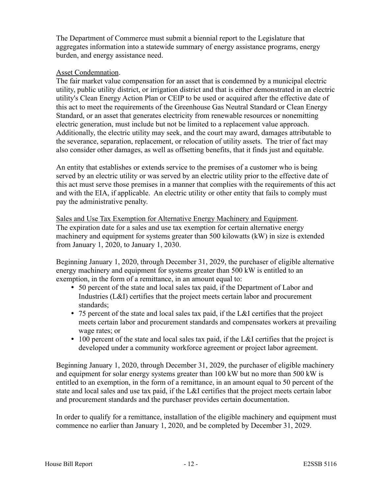The Department of Commerce must submit a biennial report to the Legislature that aggregates information into a statewide summary of energy assistance programs, energy burden, and energy assistance need.

## Asset Condemnation.

The fair market value compensation for an asset that is condemned by a municipal electric utility, public utility district, or irrigation district and that is either demonstrated in an electric utility's Clean Energy Action Plan or CEIP to be used or acquired after the effective date of this act to meet the requirements of the Greenhouse Gas Neutral Standard or Clean Energy Standard, or an asset that generates electricity from renewable resources or nonemitting electric generation, must include but not be limited to a replacement value approach. Additionally, the electric utility may seek, and the court may award, damages attributable to the severance, separation, replacement, or relocation of utility assets. The trier of fact may also consider other damages, as well as offsetting benefits, that it finds just and equitable.

An entity that establishes or extends service to the premises of a customer who is being served by an electric utility or was served by an electric utility prior to the effective date of this act must serve those premises in a manner that complies with the requirements of this act and with the EIA, if applicable. An electric utility or other entity that fails to comply must pay the administrative penalty.

Sales and Use Tax Exemption for Alternative Energy Machinery and Equipment. The expiration date for a sales and use tax exemption for certain alternative energy machinery and equipment for systems greater than 500 kilowatts (kW) in size is extended from January 1, 2020, to January 1, 2030.

Beginning January 1, 2020, through December 31, 2029, the purchaser of eligible alternative energy machinery and equipment for systems greater than 500 kW is entitled to an exemption, in the form of a remittance, in an amount equal to:

- 50 percent of the state and local sales tax paid, if the Department of Labor and Industries (L&I) certifies that the project meets certain labor and procurement standards;
- 75 percent of the state and local sales tax paid, if the L&I certifies that the project meets certain labor and procurement standards and compensates workers at prevailing wage rates; or
- 100 percent of the state and local sales tax paid, if the L&I certifies that the project is developed under a community workforce agreement or project labor agreement.

Beginning January 1, 2020, through December 31, 2029, the purchaser of eligible machinery and equipment for solar energy systems greater than 100 kW but no more than 500 kW is entitled to an exemption, in the form of a remittance, in an amount equal to 50 percent of the state and local sales and use tax paid, if the L&I certifies that the project meets certain labor and procurement standards and the purchaser provides certain documentation.

In order to qualify for a remittance, installation of the eligible machinery and equipment must commence no earlier than January 1, 2020, and be completed by December 31, 2029.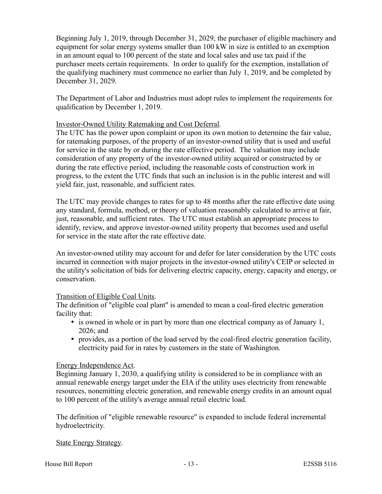Beginning July 1, 2019, through December 31, 2029, the purchaser of eligible machinery and equipment for solar energy systems smaller than 100 kW in size is entitled to an exemption in an amount equal to 100 percent of the state and local sales and use tax paid if the purchaser meets certain requirements. In order to qualify for the exemption, installation of the qualifying machinery must commence no earlier than July 1, 2019, and be completed by December 31, 2029.

The Department of Labor and Industries must adopt rules to implement the requirements for qualification by December 1, 2019.

## Investor-Owned Utility Ratemaking and Cost Deferral.

The UTC has the power upon complaint or upon its own motion to determine the fair value, for ratemaking purposes, of the property of an investor-owned utility that is used and useful for service in the state by or during the rate effective period. The valuation may include consideration of any property of the investor-owned utility acquired or constructed by or during the rate effective period, including the reasonable costs of construction work in progress, to the extent the UTC finds that such an inclusion is in the public interest and will yield fair, just, reasonable, and sufficient rates.

The UTC may provide changes to rates for up to 48 months after the rate effective date using any standard, formula, method, or theory of valuation reasonably calculated to arrive at fair, just, reasonable, and sufficient rates. The UTC must establish an appropriate process to identify, review, and approve investor-owned utility property that becomes used and useful for service in the state after the rate effective date.

An investor-owned utility may account for and defer for later consideration by the UTC costs incurred in connection with major projects in the investor-owned utility's CEIP or selected in the utility's solicitation of bids for delivering electric capacity, energy, capacity and energy, or conservation.

# Transition of Eligible Coal Units.

The definition of "eligible coal plant" is amended to mean a coal-fired electric generation facility that:

- is owned in whole or in part by more than one electrical company as of January 1, 2026; and
- provides, as a portion of the load served by the coal-fired electric generation facility, electricity paid for in rates by customers in the state of Washington.

#### Energy Independence Act.

Beginning January 1, 2030, a qualifying utility is considered to be in compliance with an annual renewable energy target under the EIA if the utility uses electricity from renewable resources, nonemitting electric generation, and renewable energy credits in an amount equal to 100 percent of the utility's average annual retail electric load.

The definition of "eligible renewable resource" is expanded to include federal incremental hydroelectricity.

#### State Energy Strategy.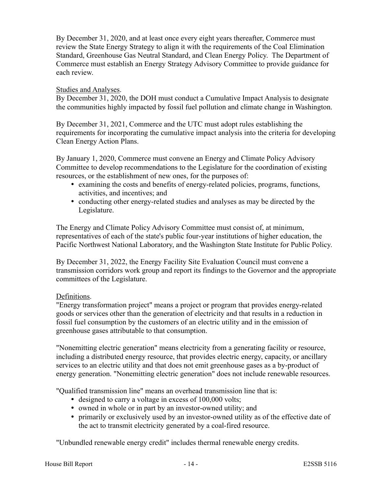By December 31, 2020, and at least once every eight years thereafter, Commerce must review the State Energy Strategy to align it with the requirements of the Coal Elimination Standard, Greenhouse Gas Neutral Standard, and Clean Energy Policy. The Department of Commerce must establish an Energy Strategy Advisory Committee to provide guidance for each review.

## Studies and Analyses.

By December 31, 2020, the DOH must conduct a Cumulative Impact Analysis to designate the communities highly impacted by fossil fuel pollution and climate change in Washington.

By December 31, 2021, Commerce and the UTC must adopt rules establishing the requirements for incorporating the cumulative impact analysis into the criteria for developing Clean Energy Action Plans.

By January 1, 2020, Commerce must convene an Energy and Climate Policy Advisory Committee to develop recommendations to the Legislature for the coordination of existing resources, or the establishment of new ones, for the purposes of:

- examining the costs and benefits of energy-related policies, programs, functions, activities, and incentives; and
- conducting other energy-related studies and analyses as may be directed by the Legislature.

The Energy and Climate Policy Advisory Committee must consist of, at minimum, representatives of each of the state's public four-year institutions of higher education, the Pacific Northwest National Laboratory, and the Washington State Institute for Public Policy.

By December 31, 2022, the Energy Facility Site Evaluation Council must convene a transmission corridors work group and report its findings to the Governor and the appropriate committees of the Legislature.

# Definitions.

"Energy transformation project" means a project or program that provides energy-related goods or services other than the generation of electricity and that results in a reduction in fossil fuel consumption by the customers of an electric utility and in the emission of greenhouse gases attributable to that consumption.

"Nonemitting electric generation" means electricity from a generating facility or resource, including a distributed energy resource, that provides electric energy, capacity, or ancillary services to an electric utility and that does not emit greenhouse gases as a by-product of energy generation. "Nonemitting electric generation" does not include renewable resources.

"Qualified transmission line" means an overhead transmission line that is:

- designed to carry a voltage in excess of 100,000 volts;
- owned in whole or in part by an investor-owned utility; and
- primarily or exclusively used by an investor-owned utility as of the effective date of the act to transmit electricity generated by a coal-fired resource.

"Unbundled renewable energy credit" includes thermal renewable energy credits.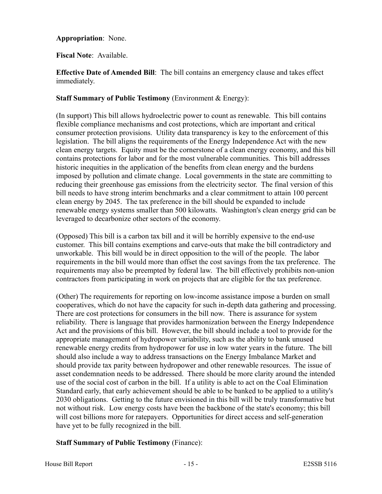## **Appropriation**: None.

## **Fiscal Note**: Available.

**Effective Date of Amended Bill**: The bill contains an emergency clause and takes effect immediately.

## **Staff Summary of Public Testimony** (Environment & Energy):

(In support) This bill allows hydroelectric power to count as renewable. This bill contains flexible compliance mechanisms and cost protections, which are important and critical consumer protection provisions. Utility data transparency is key to the enforcement of this legislation. The bill aligns the requirements of the Energy Independence Act with the new clean energy targets. Equity must be the cornerstone of a clean energy economy, and this bill contains protections for labor and for the most vulnerable communities. This bill addresses historic inequities in the application of the benefits from clean energy and the burdens imposed by pollution and climate change. Local governments in the state are committing to reducing their greenhouse gas emissions from the electricity sector. The final version of this bill needs to have strong interim benchmarks and a clear commitment to attain 100 percent clean energy by 2045. The tax preference in the bill should be expanded to include renewable energy systems smaller than 500 kilowatts. Washington's clean energy grid can be leveraged to decarbonize other sectors of the economy.

(Opposed) This bill is a carbon tax bill and it will be horribly expensive to the end-use customer. This bill contains exemptions and carve-outs that make the bill contradictory and unworkable. This bill would be in direct opposition to the will of the people. The labor requirements in the bill would more than offset the cost savings from the tax preference. The requirements may also be preempted by federal law. The bill effectively prohibits non-union contractors from participating in work on projects that are eligible for the tax preference.

(Other) The requirements for reporting on low-income assistance impose a burden on small cooperatives, which do not have the capacity for such in-depth data gathering and processing. There are cost protections for consumers in the bill now. There is assurance for system reliability. There is language that provides harmonization between the Energy Independence Act and the provisions of this bill. However, the bill should include a tool to provide for the appropriate management of hydropower variability, such as the ability to bank unused renewable energy credits from hydropower for use in low water years in the future. The bill should also include a way to address transactions on the Energy Imbalance Market and should provide tax parity between hydropower and other renewable resources. The issue of asset condemnation needs to be addressed. There should be more clarity around the intended use of the social cost of carbon in the bill. If a utility is able to act on the Coal Elimination Standard early, that early achievement should be able to be banked to be applied to a utility's 2030 obligations. Getting to the future envisioned in this bill will be truly transformative but not without risk. Low energy costs have been the backbone of the state's economy; this bill will cost billions more for ratepayers. Opportunities for direct access and self-generation have yet to be fully recognized in the bill.

# **Staff Summary of Public Testimony** (Finance):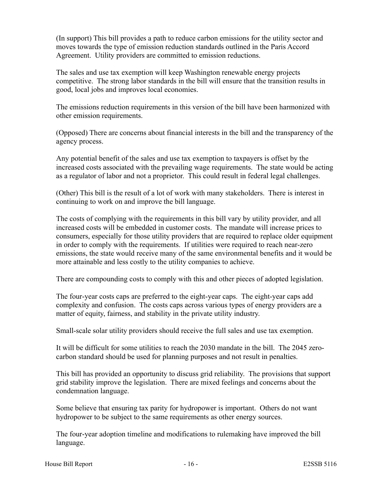(In support) This bill provides a path to reduce carbon emissions for the utility sector and moves towards the type of emission reduction standards outlined in the Paris Accord Agreement. Utility providers are committed to emission reductions.

The sales and use tax exemption will keep Washington renewable energy projects competitive. The strong labor standards in the bill will ensure that the transition results in good, local jobs and improves local economies.

The emissions reduction requirements in this version of the bill have been harmonized with other emission requirements.

(Opposed) There are concerns about financial interests in the bill and the transparency of the agency process.

Any potential benefit of the sales and use tax exemption to taxpayers is offset by the increased costs associated with the prevailing wage requirements. The state would be acting as a regulator of labor and not a proprietor. This could result in federal legal challenges.

(Other) This bill is the result of a lot of work with many stakeholders. There is interest in continuing to work on and improve the bill language.

The costs of complying with the requirements in this bill vary by utility provider, and all increased costs will be embedded in customer costs. The mandate will increase prices to consumers, especially for those utility providers that are required to replace older equipment in order to comply with the requirements. If utilities were required to reach near-zero emissions, the state would receive many of the same environmental benefits and it would be more attainable and less costly to the utility companies to achieve.

There are compounding costs to comply with this and other pieces of adopted legislation.

The four-year costs caps are preferred to the eight-year caps. The eight-year caps add complexity and confusion. The costs caps across various types of energy providers are a matter of equity, fairness, and stability in the private utility industry.

Small-scale solar utility providers should receive the full sales and use tax exemption.

It will be difficult for some utilities to reach the 2030 mandate in the bill. The 2045 zerocarbon standard should be used for planning purposes and not result in penalties.

This bill has provided an opportunity to discuss grid reliability. The provisions that support grid stability improve the legislation. There are mixed feelings and concerns about the condemnation language.

Some believe that ensuring tax parity for hydropower is important. Others do not want hydropower to be subject to the same requirements as other energy sources.

The four-year adoption timeline and modifications to rulemaking have improved the bill language.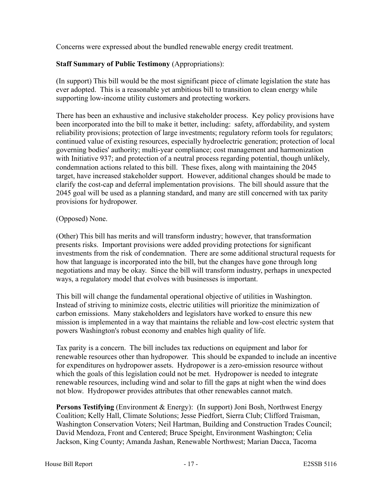Concerns were expressed about the bundled renewable energy credit treatment.

# **Staff Summary of Public Testimony** (Appropriations):

(In support) This bill would be the most significant piece of climate legislation the state has ever adopted. This is a reasonable yet ambitious bill to transition to clean energy while supporting low-income utility customers and protecting workers.

There has been an exhaustive and inclusive stakeholder process. Key policy provisions have been incorporated into the bill to make it better, including: safety, affordability, and system reliability provisions; protection of large investments; regulatory reform tools for regulators; continued value of existing resources, especially hydroelectric generation; protection of local governing bodies' authority; multi-year compliance; cost management and harmonization with Initiative 937; and protection of a neutral process regarding potential, though unlikely, condemnation actions related to this bill. These fixes, along with maintaining the 2045 target, have increased stakeholder support. However, additional changes should be made to clarify the cost-cap and deferral implementation provisions. The bill should assure that the 2045 goal will be used as a planning standard, and many are still concerned with tax parity provisions for hydropower.

# (Opposed) None.

(Other) This bill has merits and will transform industry; however, that transformation presents risks. Important provisions were added providing protections for significant investments from the risk of condemnation. There are some additional structural requests for how that language is incorporated into the bill, but the changes have gone through long negotiations and may be okay. Since the bill will transform industry, perhaps in unexpected ways, a regulatory model that evolves with businesses is important.

This bill will change the fundamental operational objective of utilities in Washington. Instead of striving to minimize costs, electric utilities will prioritize the minimization of carbon emissions. Many stakeholders and legislators have worked to ensure this new mission is implemented in a way that maintains the reliable and low-cost electric system that powers Washington's robust economy and enables high quality of life.

Tax parity is a concern. The bill includes tax reductions on equipment and labor for renewable resources other than hydropower. This should be expanded to include an incentive for expenditures on hydropower assets. Hydropower is a zero-emission resource without which the goals of this legislation could not be met. Hydropower is needed to integrate renewable resources, including wind and solar to fill the gaps at night when the wind does not blow. Hydropower provides attributes that other renewables cannot match.

**Persons Testifying** (Environment & Energy): (In support) Joni Bosh, Northwest Energy Coalition; Kelly Hall, Climate Solutions; Jesse Piedfort, Sierra Club; Clifford Traisman, Washington Conservation Voters; Neil Hartman, Building and Construction Trades Council; David Mendoza, Front and Centered; Bruce Speight, Environment Washington; Celia Jackson, King County; Amanda Jashan, Renewable Northwest; Marian Dacca, Tacoma